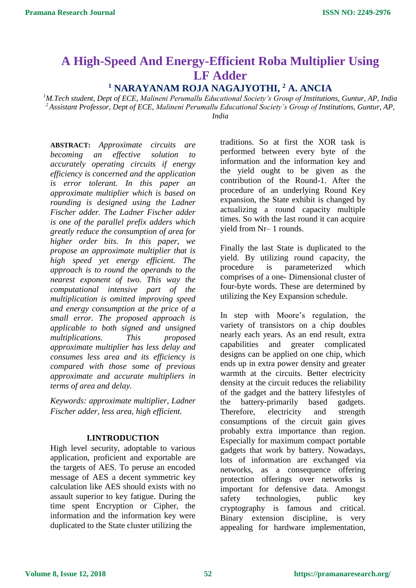# **A High-Speed And Energy-Efficient Roba Multiplier Using LF Adder**

## **<sup>1</sup> NARAYANAM ROJA NAGAJYOTHI, <sup>2</sup> A. ANCIA**

*<sup>1</sup>M.Tech student, Dept of ECE, Malineni Perumallu Educational Society's Group of Institutions, Guntur, AP, India <sup>2</sup>Assistant Professor, Dept of ECE, Malineni Perumallu Educational Society's Group of Institutions, Guntur, AP, India*

**ABSTRACT:** *Approximate circuits are becoming an effective solution to accurately operating circuits if energy efficiency is concerned and the application is error tolerant. In this paper an approximate multiplier which is based on rounding is designed using the Ladner Fischer adder. The Ladner Fischer adder is one of the parallel prefix adders which greatly reduce the consumption of area for higher order bits. In this paper, we propose an approximate multiplier that is high speed yet energy efficient. The approach is to round the operands to the nearest exponent of two. This way the computational intensive part of the multiplication is omitted improving speed and energy consumption at the price of a small error. The proposed approach is applicable to both signed and unsigned multiplications. This proposed approximate multiplier has less delay and consumes less area and its efficiency is compared with those some of previous approximate and accurate multipliers in terms of area and delay.* 

*Keywords: approximate multiplier, Ladner Fischer adder, less area, high efficient.*

#### **I.INTRODUCTION**

High level security, adoptable to various application, proficient and exportable are the targets of AES. To peruse an encoded message of AES a decent symmetric key calculation like AES should exists with no assault superior to key fatigue. During the time spent Encryption or Cipher, the information and the information key were duplicated to the State cluster utilizing the

traditions. So at first the XOR task is performed between every byte of the information and the information key and the yield ought to be given as the contribution of the Round-1. After the procedure of an underlying Round Key expansion, the State exhibit is changed by actualizing a round capacity multiple times. So with the last round it can acquire yield from Nr– 1 rounds.

Finally the last State is duplicated to the yield. By utilizing round capacity, the procedure is parameterized which comprises of a one- Dimensional cluster of four-byte words. These are determined by utilizing the Key Expansion schedule.

In step with Moore's regulation, the variety of transistors on a chip doubles nearly each years. As an end result, extra capabilities and greater complicated designs can be applied on one chip, which ends up in extra power density and greater warmth at the circuits. Better electricity density at the circuit reduces the reliability of the gadget and the battery lifestyles of the battery-primarily based gadgets. Therefore, electricity and strength consumptions of the circuit gain gives probably extra importance than region. Especially for maximum compact portable gadgets that work by battery. Nowadays, lots of information are exchanged via networks, as a consequence offering protection offerings over networks is important for defensive data. Amongst safety technologies, public key cryptography is famous and critical. Binary extension discipline, is very appealing for hardware implementation,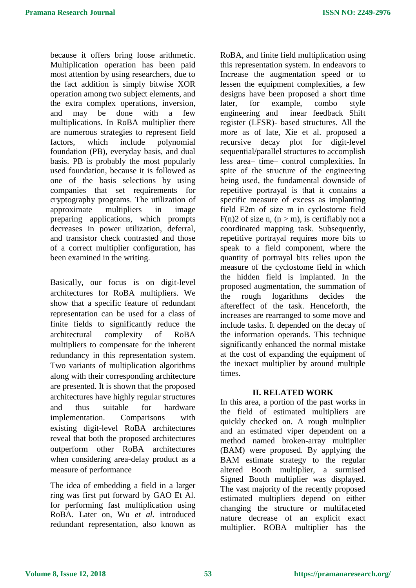because it offers bring loose arithmetic. Multiplication operation has been paid most attention by using researchers, due to the fact addition is simply bitwise XOR operation among two subject elements, and the extra complex operations, inversion, and may be done with a few multiplications. In RoBA multiplier there are numerous strategies to represent field factors, which include polynomial foundation (PB), everyday basis, and dual basis. PB is probably the most popularly used foundation, because it is followed as one of the basis selections by using companies that set requirements for cryptography programs. The utilization of approximate multipliers in image preparing applications, which prompts decreases in power utilization, deferral, and transistor check contrasted and those of a correct multiplier configuration, has been examined in the writing.

Basically, our focus is on digit-level architectures for RoBA multipliers. We show that a specific feature of redundant representation can be used for a class of finite fields to significantly reduce the architectural complexity of RoBA multipliers to compensate for the inherent redundancy in this representation system. Two variants of multiplication algorithms along with their corresponding architecture are presented. It is shown that the proposed architectures have highly regular structures and thus suitable for hardware implementation. Comparisons with existing digit-level RoBA architectures reveal that both the proposed architectures outperform other RoBA architectures when considering area-delay product as a measure of performance

The idea of embedding a field in a larger ring was first put forward by GAO Et Al*.* for performing fast multiplication using RoBA. Later on, Wu *et al.* introduced redundant representation, also known as RoBA, and finite field multiplication using this representation system. In endeavors to Increase the augmentation speed or to lessen the equipment complexities, a few designs have been proposed a short time later, for example, combo style engineering and inear feedback Shift register (LFSR)- based structures. All the more as of late, Xie et al. proposed a recursive decay plot for digit-level sequential/parallel structures to accomplish less area– time– control complexities. In spite of the structure of the engineering being used, the fundamental downside of repetitive portrayal is that it contains a specific measure of excess as implanting field F2m of size m in cyclostome field  $F(n)$ 2 of size n,  $(n > m)$ , is certifiably not a coordinated mapping task. Subsequently, repetitive portrayal requires more bits to speak to a field component, where the quantity of portrayal bits relies upon the measure of the cyclostome field in which the hidden field is implanted. In the proposed augmentation, the summation of the rough logarithms decides the aftereffect of the task. Henceforth, the increases are rearranged to some move and include tasks. It depended on the decay of the information operands. This technique significantly enhanced the normal mistake at the cost of expanding the equipment of the inexact multiplier by around multiple times.

#### **II. RELATED WORK**

In this area, a portion of the past works in the field of estimated multipliers are quickly checked on. A rough multiplier and an estimated viper dependent on a method named broken-array multiplier (BAM) were proposed. By applying the BAM estimate strategy to the regular altered Booth multiplier, a surmised Signed Booth multiplier was displayed. The vast majority of the recently proposed estimated multipliers depend on either changing the structure or multifaceted nature decrease of an explicit exact multiplier. ROBA multiplier has the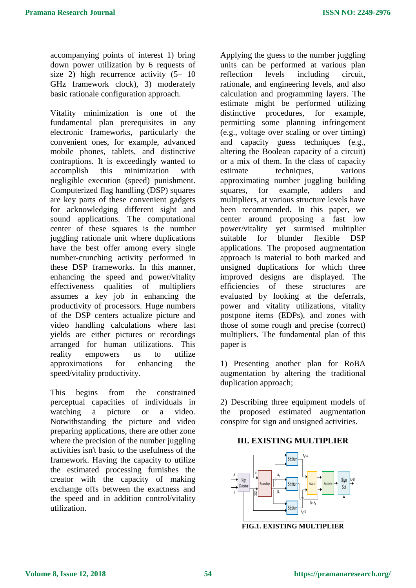accompanying points of interest 1) bring down power utilization by 6 requests of size 2) high recurrence activity  $(5-10)$ GHz framework clock), 3) moderately basic rationale configuration approach.

Vitality minimization is one of the fundamental plan prerequisites in any electronic frameworks, particularly the convenient ones, for example, advanced mobile phones, tablets, and distinctive contraptions. It is exceedingly wanted to accomplish this minimization with negligible execution (speed) punishment. Computerized flag handling (DSP) squares are key parts of these convenient gadgets for acknowledging different sight and sound applications. The computational center of these squares is the number juggling rationale unit where duplications have the best offer among every single number-crunching activity performed in these DSP frameworks. In this manner, enhancing the speed and power/vitality effectiveness qualities of multipliers assumes a key job in enhancing the productivity of processors. Huge numbers of the DSP centers actualize picture and video handling calculations where last yields are either pictures or recordings arranged for human utilizations. This reality empowers us to utilize approximations for enhancing the speed/vitality productivity.

This begins from the constrained perceptual capacities of individuals in watching a picture or a video. Notwithstanding the picture and video preparing applications, there are other zone where the precision of the number juggling activities isn't basic to the usefulness of the framework. Having the capacity to utilize the estimated processing furnishes the creator with the capacity of making exchange offs between the exactness and the speed and in addition control/vitality utilization.

Applying the guess to the number juggling units can be performed at various plan reflection levels including circuit, rationale, and engineering levels, and also calculation and programming layers. The estimate might be performed utilizing distinctive procedures, for example, permitting some planning infringement (e.g., voltage over scaling or over timing) and capacity guess techniques (e.g., altering the Boolean capacity of a circuit) or a mix of them. In the class of capacity estimate techniques, various approximating number juggling building squares, for example, adders and multipliers, at various structure levels have been recommended. In this paper, we center around proposing a fast low power/vitality yet surmised multiplier suitable for blunder flexible DSP applications. The proposed augmentation approach is material to both marked and unsigned duplications for which three improved designs are displayed. The efficiencies of these structures are evaluated by looking at the deferrals, power and vitality utilizations, vitality postpone items (EDPs), and zones with those of some rough and precise (correct) multipliers. The fundamental plan of this paper is

1) Presenting another plan for RoBA augmentation by altering the traditional duplication approach;

2) Describing three equipment models of the proposed estimated augmentation conspire for sign and unsigned activities.

#### **III. EXISTING MULTIPLIER**



**FIG.1. EXISTING MULTIPLIER**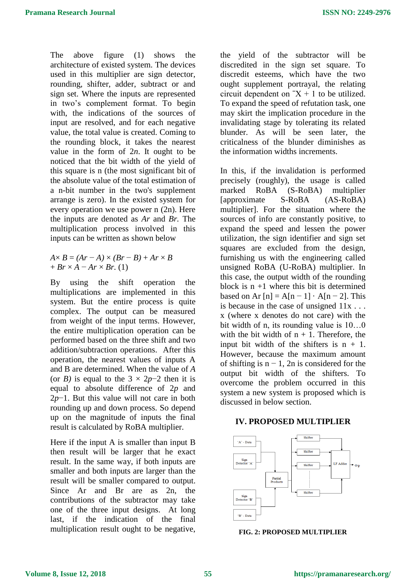The above figure (1) shows the architecture of existed system. The devices used in this multiplier are sign detector, rounding, shifter, adder, subtract or and sign set. Where the inputs are represented in two's complement format. To begin with, the indications of the sources of input are resolved, and for each negative value, the total value is created. Coming to the rounding block, it takes the nearest value in the form of 2*n*. It ought to be noticed that the bit width of the yield of this square is n (the most significant bit of the absolute value of the total estimation of a n-bit number in the two's supplement arrange is zero). In the existed system for every operation we use power n (2n). Here the inputs are denoted as *Ar* and *Br.* The multiplication process involved in this inputs can be written as shown below

 $A \times B = (Ar - A) \times (Br - B) + Ar \times B$ + *Br* × *A* − *Ar* × *Br.* (1)

By using the shift operation the multiplications are implemented in this system. But the entire process is quite complex. The output can be measured from weight of the input terms. However, the entire multiplication operation can be performed based on the three shift and two addition/subtraction operations. After this operation, the nearest values of inputs A and B are determined. When the value of *A*  (or *B*) is equal to the  $3 \times 2p-2$  then it is equal to absolute difference of 2*p* and 2*p*−1. But this value will not care in both rounding up and down process. So depend up on the magnitude of inputs the final result is calculated by RoBA multiplier.

Here if the input A is smaller than input B then result will be larger that he exact result. In the same way, if both inputs are smaller and both inputs are larger than the result will be smaller compared to output. Since Ar and Br are as 2n, the contributions of the subtractor may take one of the three input designs. At long last, if the indication of the final multiplication result ought to be negative, the yield of the subtractor will be discredited in the sign set square. To discredit esteems, which have the two ought supplement portrayal, the relating circuit dependent on  $X + 1$  to be utilized. To expand the speed of refutation task, one may skirt the implication procedure in the invalidating stage by tolerating its related blunder. As will be seen later, the criticalness of the blunder diminishes as the information widths increments.

In this, if the invalidation is performed precisely (roughly), the usage is called marked RoBA (S-RoBA) multiplier [approximate S-RoBA (AS-RoBA) multiplier]. For the situation where the sources of info are constantly positive, to expand the speed and lessen the power utilization, the sign identifier and sign set squares are excluded from the design, furnishing us with the engineering called unsigned RoBA (U-RoBA) multiplier. In this case, the output width of the rounding block is  $n + 1$  where this bit is determined based on Ar  $[n] = A[n-1] \cdot A[n-2]$ . This is because in the case of unsigned  $11x$ ... x (where x denotes do not care) with the bit width of n, its rounding value is 10…0 with the bit width of  $n + 1$ . Therefore, the input bit width of the shifters is  $n + 1$ . However, because the maximum amount of shifting is  $n - 1$ , 2n is considered for the output bit width of the shifters. To overcome the problem occurred in this system a new system is proposed which is discussed in below section.

#### **IV. PROPOSED MULTIPLIER**



**FIG. 2: PROPOSED MULTIPLIER**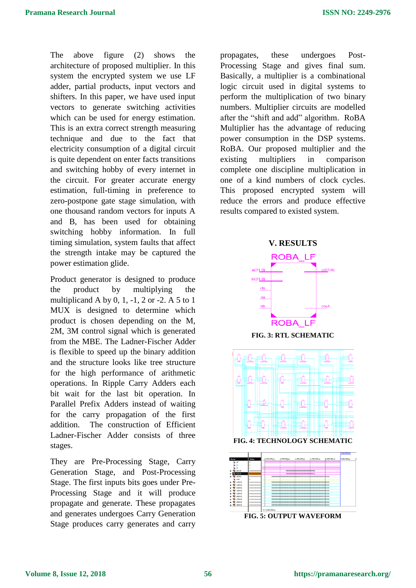The above figure (2) shows the architecture of proposed multiplier. In this system the encrypted system we use LF adder, partial products, input vectors and shifters. In this paper, we have used input vectors to generate switching activities which can be used for energy estimation. This is an extra correct strength measuring technique and due to the fact that electricity consumption of a digital circuit is quite dependent on enter facts transitions and switching hobby of every internet in the circuit. For greater accurate energy estimation, full-timing in preference to zero-postpone gate stage simulation, with one thousand random vectors for inputs A and B, has been used for obtaining switching hobby information. In full timing simulation, system faults that affect the strength intake may be captured the power estimation glide.

Product generator is designed to produce the product by multiplying the multiplicand A by 0, 1, -1, 2 or -2. A 5 to 1 MUX is designed to determine which product is chosen depending on the M, 2M, 3M control signal which is generated from the MBE. The Ladner-Fischer Adder is flexible to speed up the binary addition and the structure looks like tree structure for the high performance of arithmetic operations. In Ripple Carry Adders each bit wait for the last bit operation. In Parallel Prefix Adders instead of waiting for the carry propagation of the first addition. The construction of Efficient Ladner-Fischer Adder consists of three stages.

They are Pre-Processing Stage, Carry Generation Stage, and Post-Processing Stage. The first inputs bits goes under Pre-Processing Stage and it will produce propagate and generate. These propagates and generates undergoes Carry Generation Stage produces carry generates and carry

propagates, these undergoes Post-Processing Stage and gives final sum. Basically, a multiplier is a combinational logic circuit used in digital systems to perform the multiplication of two binary numbers. Multiplier circuits are modelled after the "shift and add" algorithm. RoBA Multiplier has the advantage of reducing power consumption in the DSP systems. RoBA. Our proposed multiplier and the existing multipliers in comparison complete one discipline multiplication in one of a kind numbers of clock cycles. This proposed encrypted system will reduce the errors and produce effective results compared to existed system.



**FIG. 3: RTL SCHEMATIC**



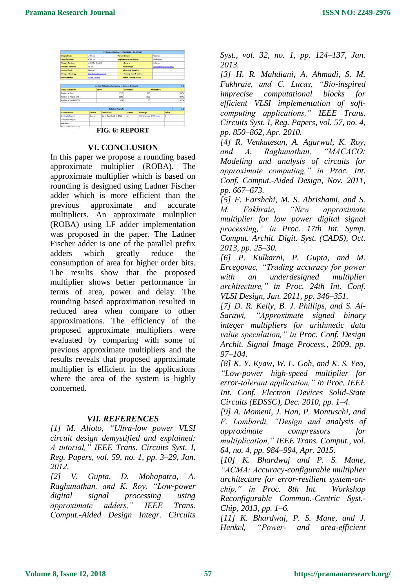

#### **VI. CONCLUSION**

In this paper we propose a rounding based approximate multiplier (ROBA). The approximate multiplier which is based on rounding is designed using Ladner Fischer adder which is more efficient than the previous approximate and accurate multipliers. An approximate multiplier (ROBA) using LF adder implementation was proposed in the paper. The Ladner Fischer adder is one of the parallel prefix adders which greatly reduce the consumption of area for higher order bits. The results show that the proposed multiplier shows better performance in terms of area, power and delay. The rounding based approximation resulted in reduced area when compare to other approximations. The efficiency of the proposed approximate multipliers were evaluated by comparing with some of previous approximate multipliers and the results reveals that proposed approximate multiplier is efficient in the applications where the area of the system is highly concerned.

### *VII. REFERENCES*

*[1] M. Alioto, "Ultra-low power VLSI circuit design demystified and explained: A tutorial," IEEE Trans. Circuits Syst. I, Reg. Papers, vol. 59, no. 1, pp. 3–29, Jan. 2012.*

*[2] V. Gupta, D. Mohapatra, A. Raghunathan, and K. Roy, "Low-power digital signal processing using approximate adders," IEEE Trans. Comput.-Aided Design Integr. Circuits* 

*Syst., vol. 32, no. 1, pp. 124–137, Jan. 2013.*

*[3] H. R. Mahdiani, A. Ahmadi, S. M. Fakhraie, and C. Lucas, "Bio-inspired imprecise computational blocks for efficient VLSI implementation of softcomputing applications," IEEE Trans. Circuits Syst. I, Reg. Papers, vol. 57, no. 4, pp. 850–862, Apr. 2010.*

*[4] R. Venkatesan, A. Agarwal, K. Roy, and A. Raghunathan, "MACACO: Modeling and analysis of circuits for approximate computing," in Proc. Int. Conf. Comput.-Aided Design, Nov. 2011, pp. 667–673.*

*[5] F. Farshchi, M. S. Abrishami, and S. M. Fakhraie, "New approximate multiplier for low power digital signal processing," in Proc. 17th Int. Symp. Comput. Archit. Digit. Syst. (CADS), Oct. 2013, pp. 25–30.*

*[6] P. Kulkarni, P. Gupta, and M. Ercegovac, "Trading accuracy for power with an underdesigned multiplier architecture," in Proc. 24th Int. Conf. VLSI Design, Jan. 2011, pp. 346–351.*

*[7] D. R. Kelly, B. J. Phillips, and S. Al-Sarawi, "Approximate signed binary integer multipliers for arithmetic data value speculation," in Proc. Conf. Design Archit. Signal Image Process., 2009, pp. 97–104.*

*[8] K. Y. Kyaw, W. L. Goh, and K. S. Yeo, "Low-power high-speed multiplier for error-tolerant application," in Proc. IEEE Int. Conf. Electron Devices Solid-State Circuits (EDSSC), Dec. 2010, pp. 1–4.*

*[9] A. Momeni, J. Han, P. Montuschi, and F. Lombardi, "Design and analysis of approximate compressors for multiplication," IEEE Trans. Comput., vol. 64, no. 4, pp. 984–994, Apr. 2015.*

*[10] K. Bhardwaj and P. S. Mane, "ACMA: Accuracy-configurable multiplier architecture for error-resilient system-onchip," in Proc. 8th Int. Workshop Reconfigurable Commun.-Centric Syst.- Chip, 2013, pp. 1–6.*

*[11] K. Bhardwaj, P. S. Mane, and J. Henkel, "Power- and area-efficient*